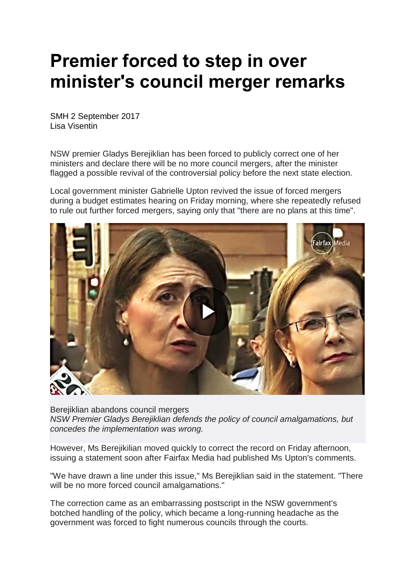## **Premier forced to step in over minister's council merger remarks**

SMH 2 September 2017 Lisa Visentin

NSW premier Gladys Berejiklian has been forced to publicly correct one of her ministers and declare there will be no more council mergers, after the minister flagged a possible revival of the controversial policy before the next state election.

Local government minister Gabrielle Upton revived the issue of forced mergers during a budget estimates hearing on Friday morning, where she repeatedly refused to rule out further forced mergers, saying only that "there are no plans at this time".



Berejiklian abandons council mergers *NSW Premier Gladys Berejiklian defends the policy of council amalgamations, but concedes the implementation was wrong.*

However, Ms Berejikilian moved quickly to correct the record on Friday afternoon, issuing a statement soon after Fairfax Media had published Ms Upton's comments.

"We have drawn a line under this issue," Ms Berejiklian said in the statement. "There will be no more forced council amalgamations."

The correction came as an embarrassing postscript in the NSW government's botched handling of the policy, which became a long-running headache as the government was forced to fight numerous councils through the courts.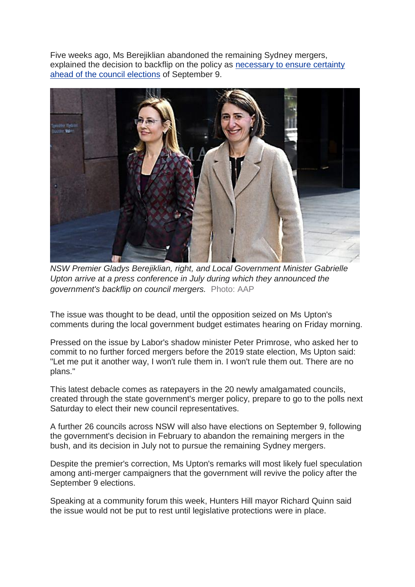Five weeks ago, Ms Berejiklian abandoned the remaining Sydney mergers, explained the decision to backflip on the policy as [necessary](http://www.smh.com.au/nsw/nsw-government-to-abandon-legal-battle-over-council-amalgamations-20170727-gxjqtl.html) to ensure certainty ahead of the council [elections](http://www.smh.com.au/nsw/nsw-government-to-abandon-legal-battle-over-council-amalgamations-20170727-gxjqtl.html) of September 9.



*NSW Premier Gladys Berejiklian, right, and Local Government Minister Gabrielle Upton arrive at a press conference in July during which they announced the government's backflip on council mergers.* Photo: AAP

The issue was thought to be dead, until the opposition seized on Ms Upton's comments during the local government budget estimates hearing on Friday morning.

Pressed on the issue by Labor's shadow minister Peter Primrose, who asked her to commit to no further forced mergers before the 2019 state election, Ms Upton said: "Let me put it another way, I won't rule them in. I won't rule them out. There are no plans."

This latest debacle comes as ratepayers in the 20 newly amalgamated councils, created through the state government's merger policy, prepare to go to the polls next Saturday to elect their new council representatives.

A further 26 councils across NSW will also have elections on September 9, following the government's decision in February to abandon the remaining mergers in the bush, and its decision in July not to pursue the remaining Sydney mergers.

Despite the premier's correction, Ms Upton's remarks will most likely fuel speculation among anti-merger campaigners that the government will revive the policy after the September 9 elections.

Speaking at a community forum this week, Hunters Hill mayor Richard Quinn said the issue would not be put to rest until legislative protections were in place.